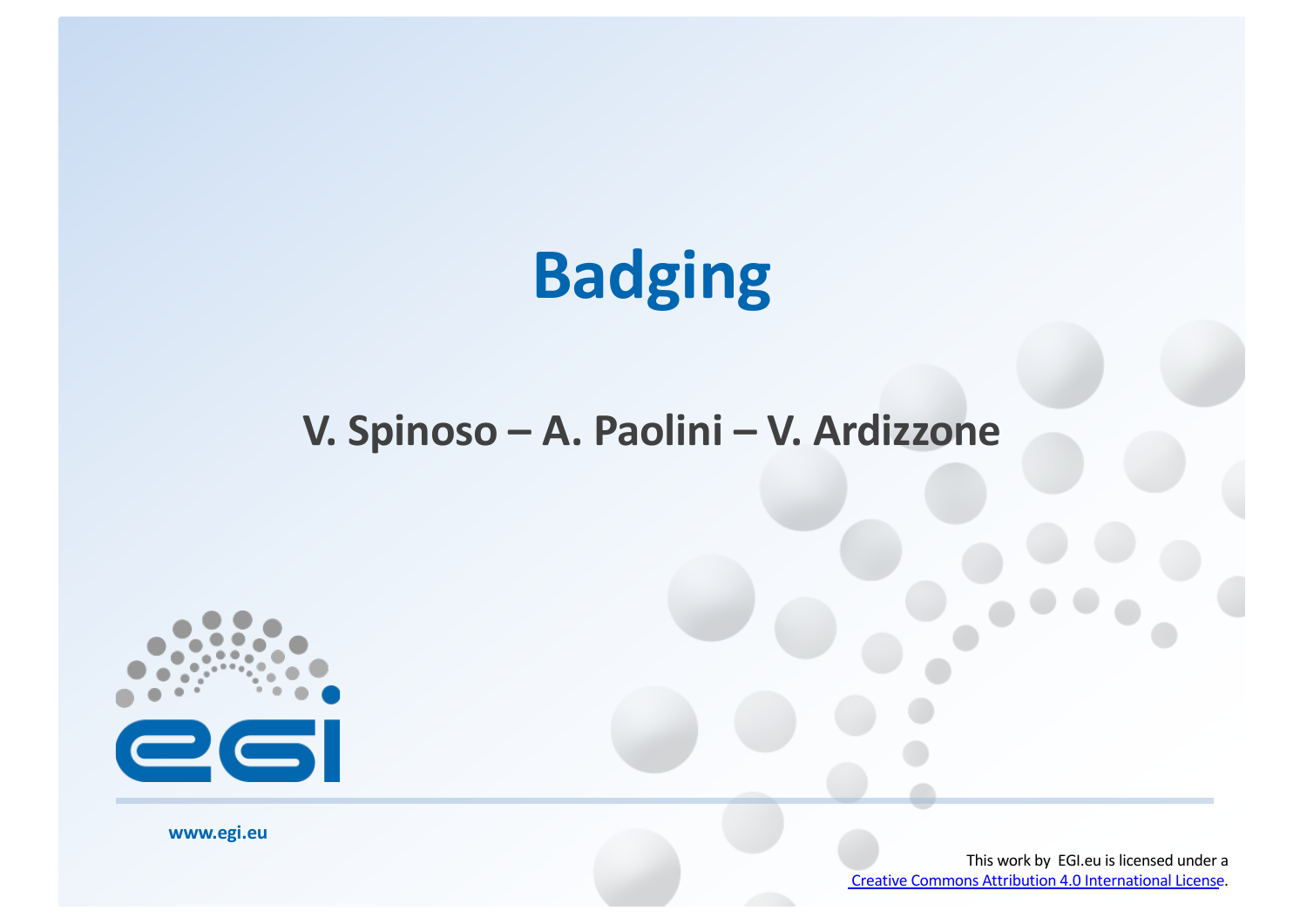# **Badging**

### **V. Spinoso – A. Paolini – V. Ardizzone**



**www.egi.eu**

This work by EGI.eu is licensed under a [Creative Commons Attribution 4.0 Internationa](http://creativecommons.org/licenses/by/4.0/)l License.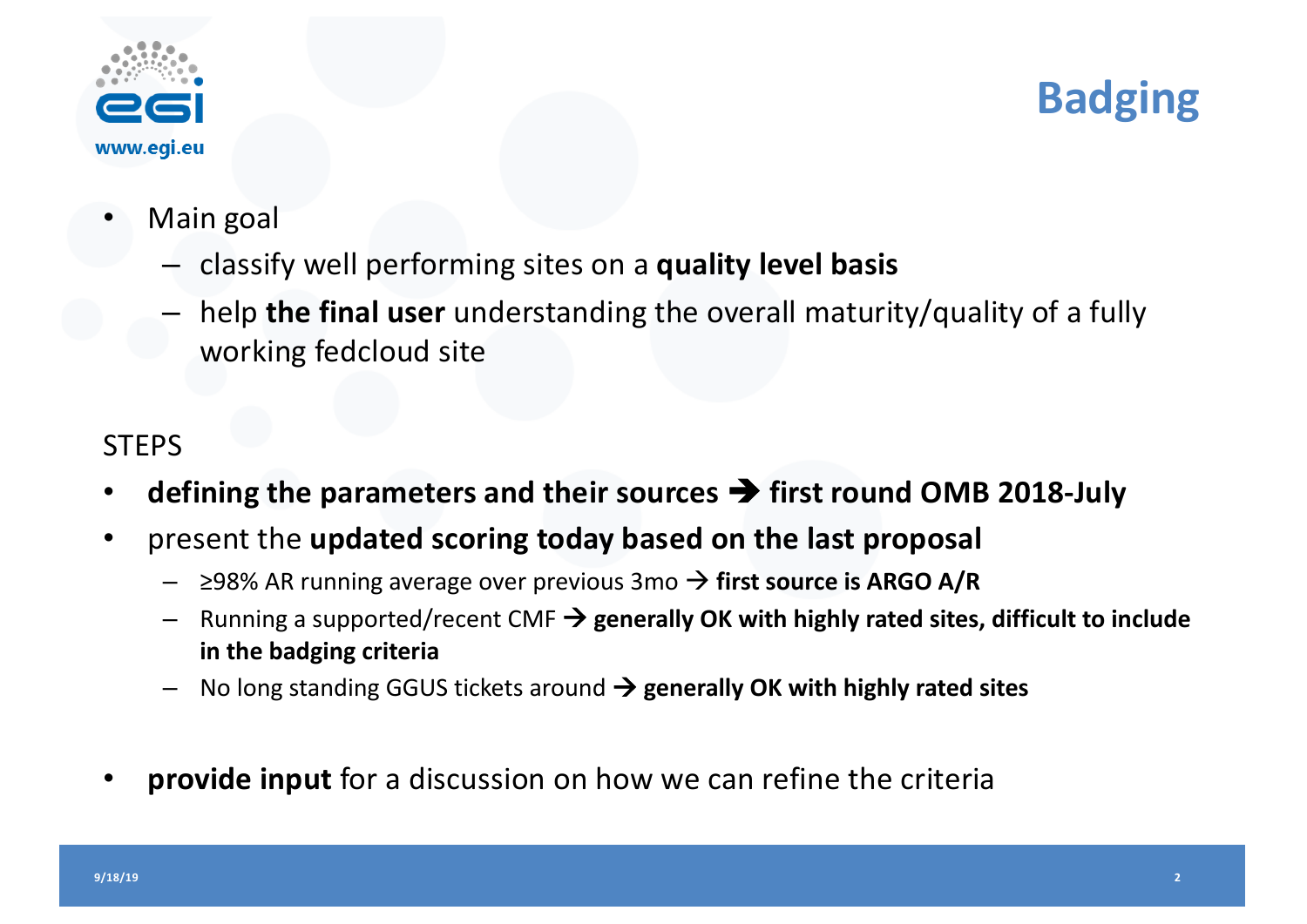

## **Badging**

- Main goal
	- classify well performing sites on a **quality level basis**
	- help **the final user** understanding the overall maturity/quality of a fully working fedcloud site

### **STEPS**

- **defining the parameters and their sources** è **first round OMB 2018-July**
- present the **updated scoring today based on the last proposal**
	- ≥98% AR running average over previous 3mo → first source is ARGO A/R
	- $-$  Running a supported/recent CMF  $\rightarrow$  generally OK with highly rated sites, difficult to include **in the badging criteria**
	- No long standing GGUS tickets around  $\rightarrow$  generally OK with highly rated sites
- **provide input** for a discussion on how we can refine the criteria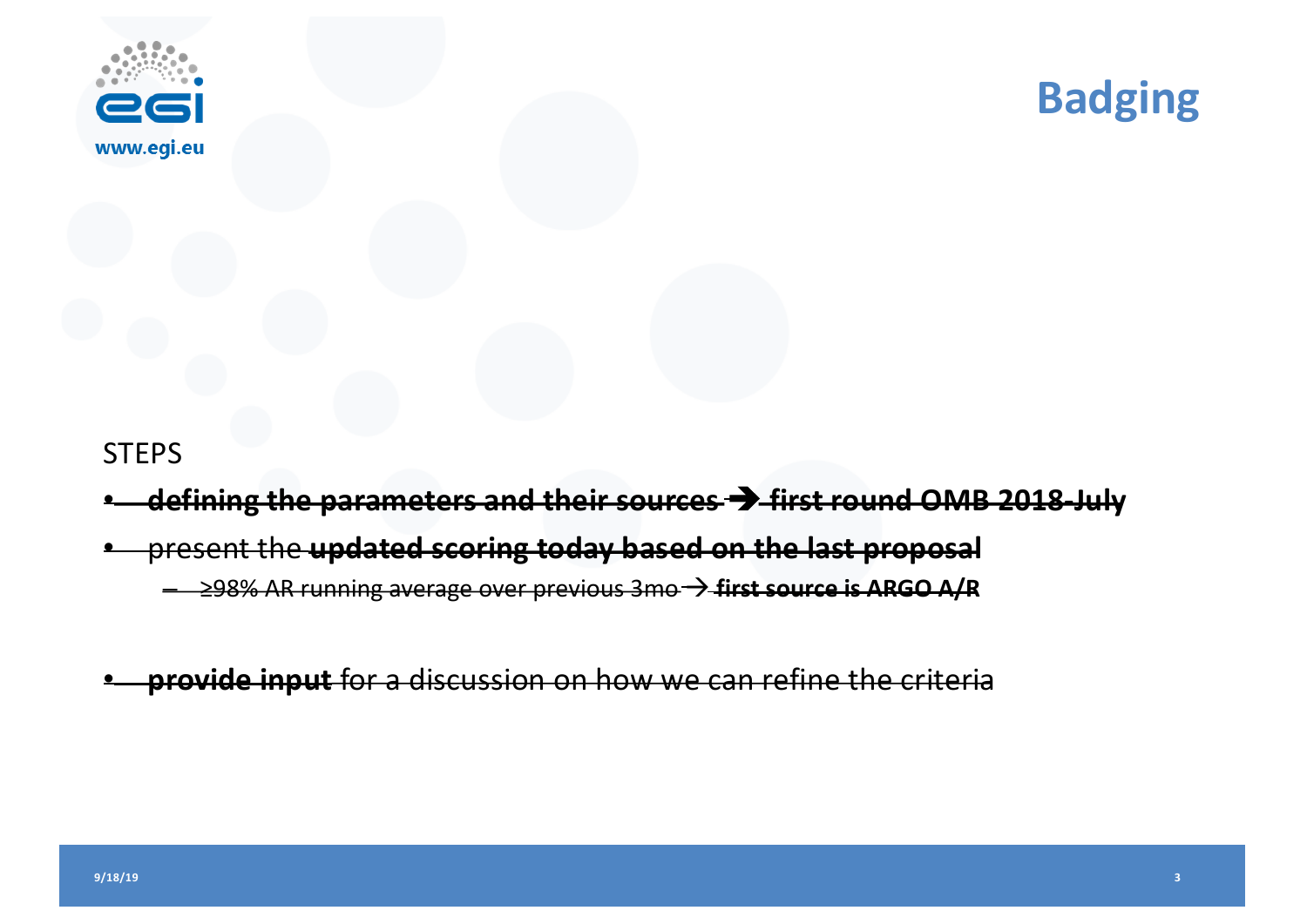



#### **STEPS**

- **defining the parameters and their sources** è **first round OMB 2018-July**
- present the **updated scoring today based on the last proposal**
	- ≥98% AR running average over previous 3mo à **first source is ARGO A/R**
- **provide input** for a discussion on how we can refine the criteria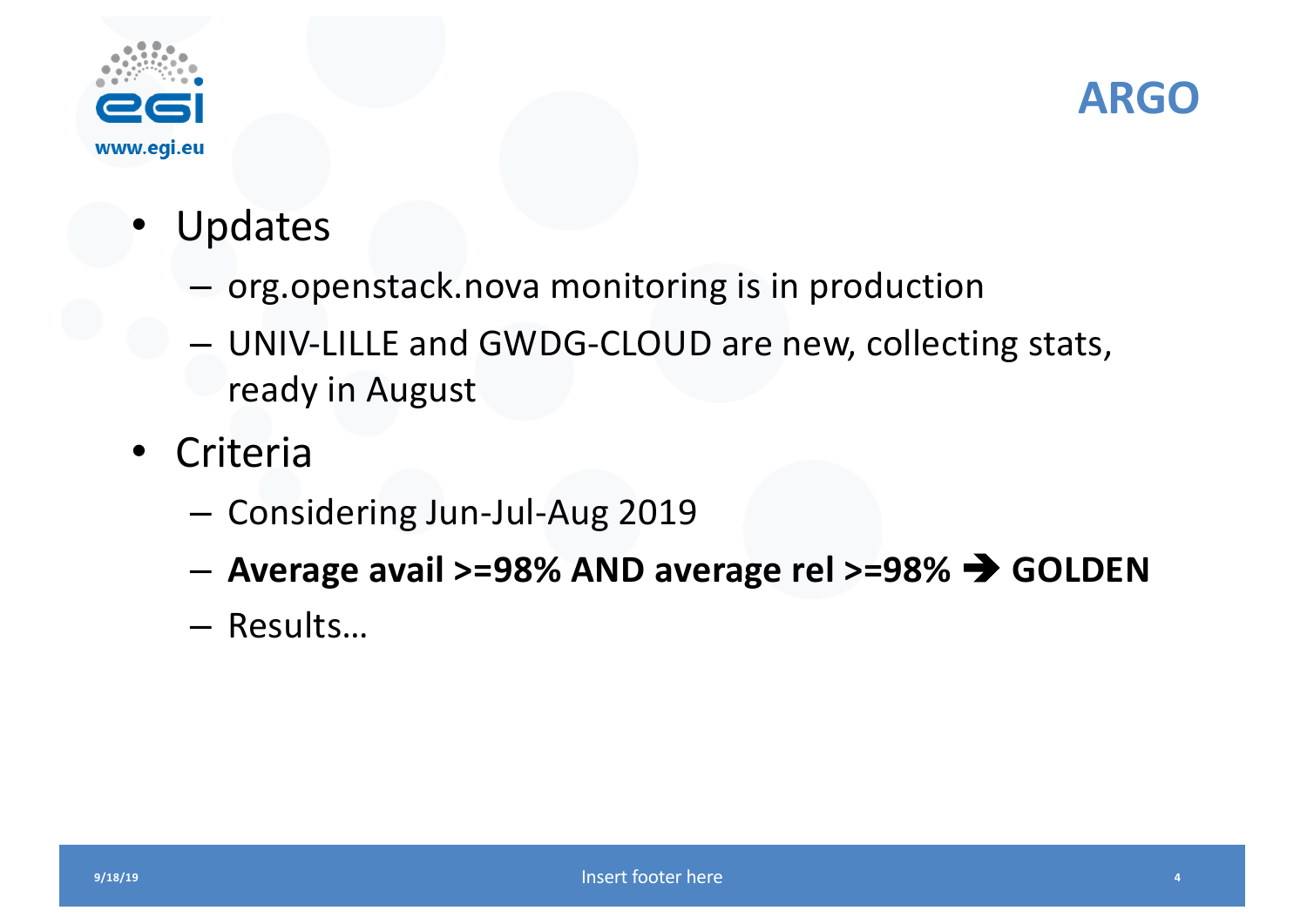



- Updates
	- org.openstack.nova monitoring is in production
	- UNIV-LILLE and GWDG-CLOUD are new, collecting stats, ready in August
- Criteria
	- Considering Jun-Jul-Aug 2019
	- Average avail >=98% AND average rel >=98%  $\rightarrow$  GOLDEN
	- Results...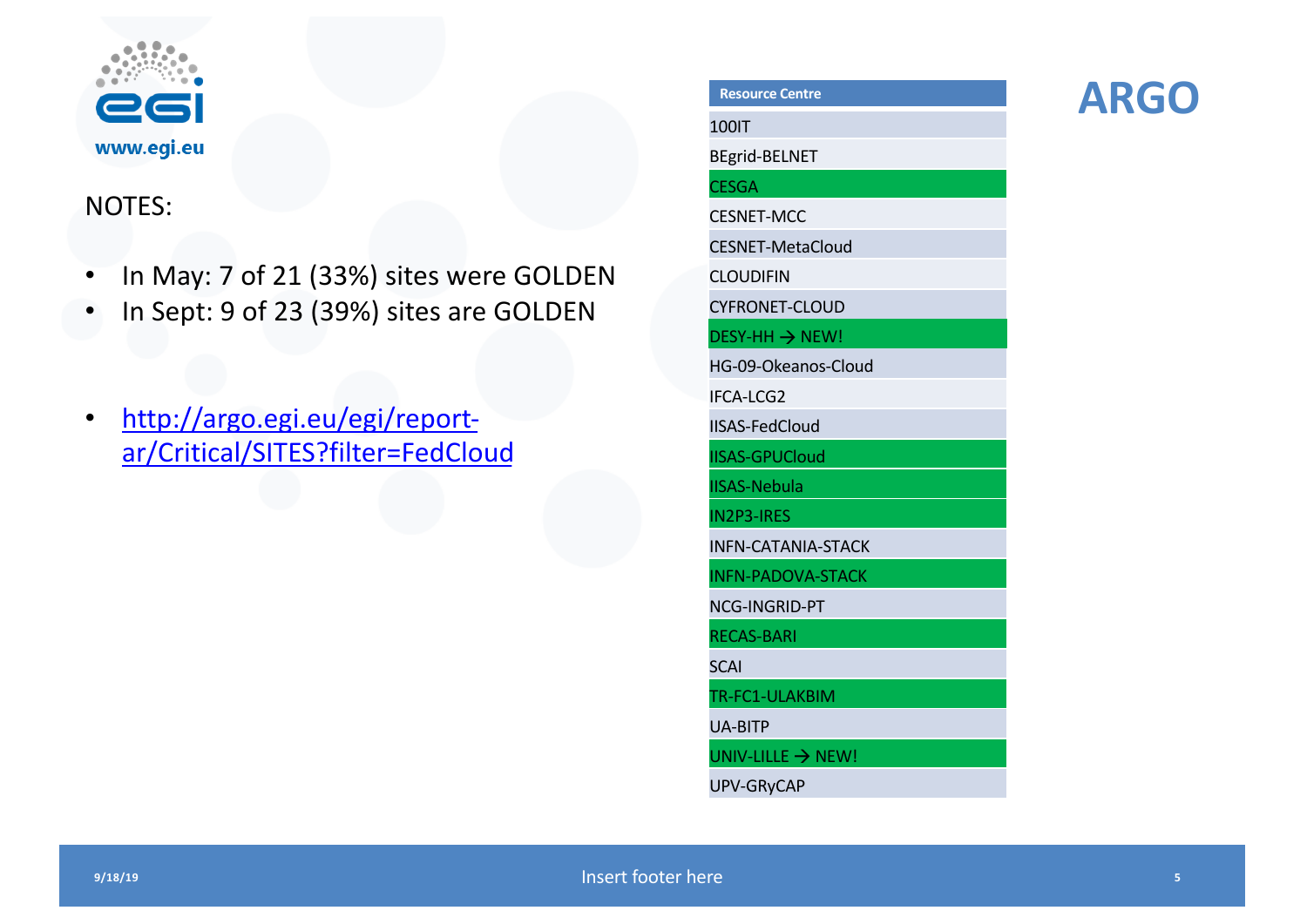

#### NOTES:

- In May: 7 of 21 (33%) sites were GOLDEN
- In Sept: 9 of 23 (39%) sites are GOLDEN
- http://argo.egi.eu/egi/report[ar/Critical/SITES?filter=FedC](http://argo.egi.eu/egi/report-ar/Critical/SITES?filter=FedCloud)loud

| Resource Centre               |
|-------------------------------|
| 100IT                         |
| <b>BEgrid-BELNET</b>          |
| <b>CESGA</b>                  |
| <b>CESNET-MCC</b>             |
| <b>CESNET-MetaCloud</b>       |
| <b>CLOUDIFIN</b>              |
| <b>CYFRONET-CLOUD</b>         |
| <b>DESY-HH → NEW!</b>         |
| HG-09-Okeanos-Cloud           |
| IFCA-LCG2                     |
| <b>IISAS-FedCloud</b>         |
| <b>IISAS-GPUCloud</b>         |
| <b>IISAS-Nebula</b>           |
| <b>IN2P3-IRES</b>             |
| <b>INFN-CATANIA-STACK</b>     |
| <b>INFN-PADOVA-STACK</b>      |
| NCG-INGRID-PT                 |
| <b>RECAS-BARI</b>             |
| <b>SCAI</b>                   |
| TR-FC1-ULAKBIM                |
| <b>UA-BITP</b>                |
| UNIV-LILLE $\rightarrow$ NEW! |
| <b>UPV-GRyCAP</b>             |
|                               |

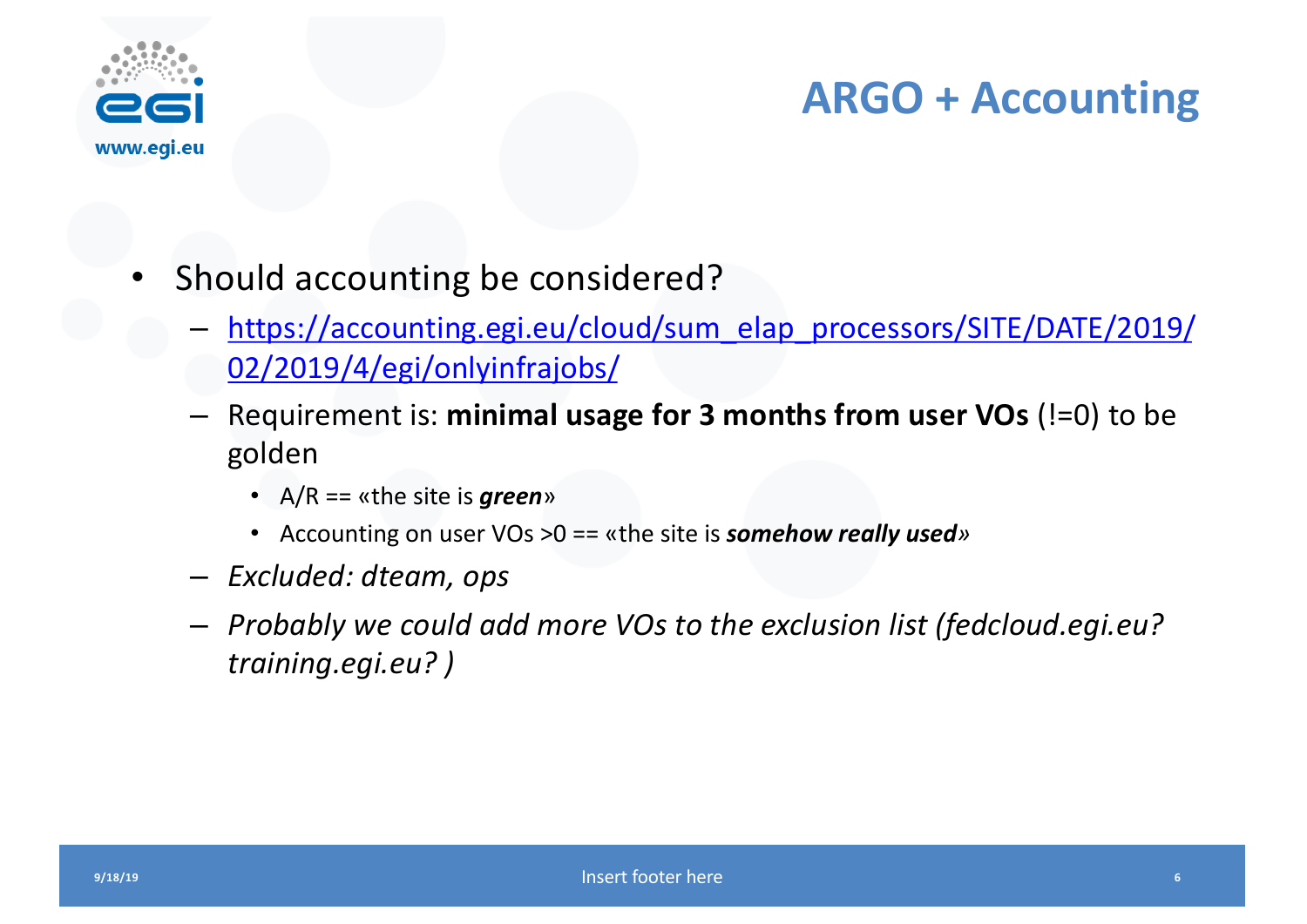

### **ARGO + Accounting**

- Should accounting be considered?
	- [https://accounting.egi.eu/cloud/sum\\_elap\\_processors/SITE/DATE/20](https://accounting.egi.eu/cloud/sum_elap_processors/SITE/DATE/2019/02/2019/4/egi/onlyinfrajobs/)19/ 02/2019/4/egi/onlyinfrajobs/
	- Requirement is: **minimal usage for 3 months from user VOs** (!=0) to be golden
		- A/R == «the site is *green*»
		- Accounting on user VOs >0 == «the site is *somehow really used»*
	- *Excluded: dteam, ops*
	- *Probably we could add more VOs to the exclusion list (fedcloud.egi.eu? training.egi.eu? )*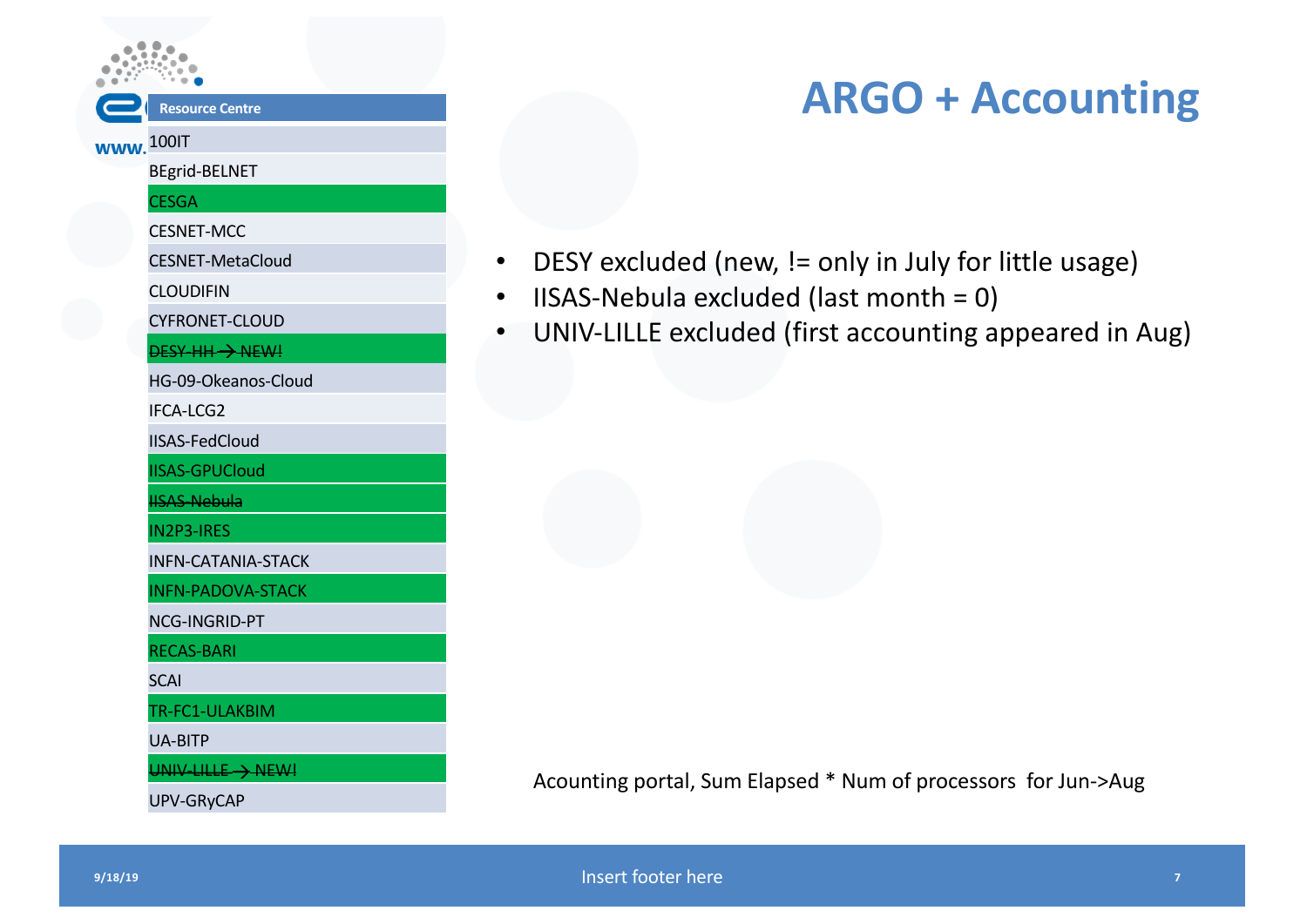#### **Resource Centre**

#### **www.** 100IT

BEgrid-BELNET

#### **CESGA**

CESNET-MCC

CESNET-MetaCloud

CLOUDIFIN

CYFRONET-CLOUD

DESY-HH -> NEW!

HG-09-Okeanos-Cloud

IFCA-LCG2

IISAS-FedCloud

IISAS-GPUCloud

ISAS-Nebula

IN2P3-IRES

INFN-CATANIA-STACK

INFN-PADOVA-STACK

NCG-INGRID-PT

RECAS-BARI

**SCAI** 

TR-FC1-ULAKBIM

UA-BITP

 $UNIV-LILLE \rightarrow NEW!$ 

UPV-GRyCAP

### **ARGO + Accounting**

- DESY excluded (new, != only in July for little usage)
- IISAS-Nebula excluded (last month = 0)
- UNIV-LILLE excluded (first accounting appeared in Aug)

Acounting portal, Sum Elapsed \* Num of processors for Jun->Aug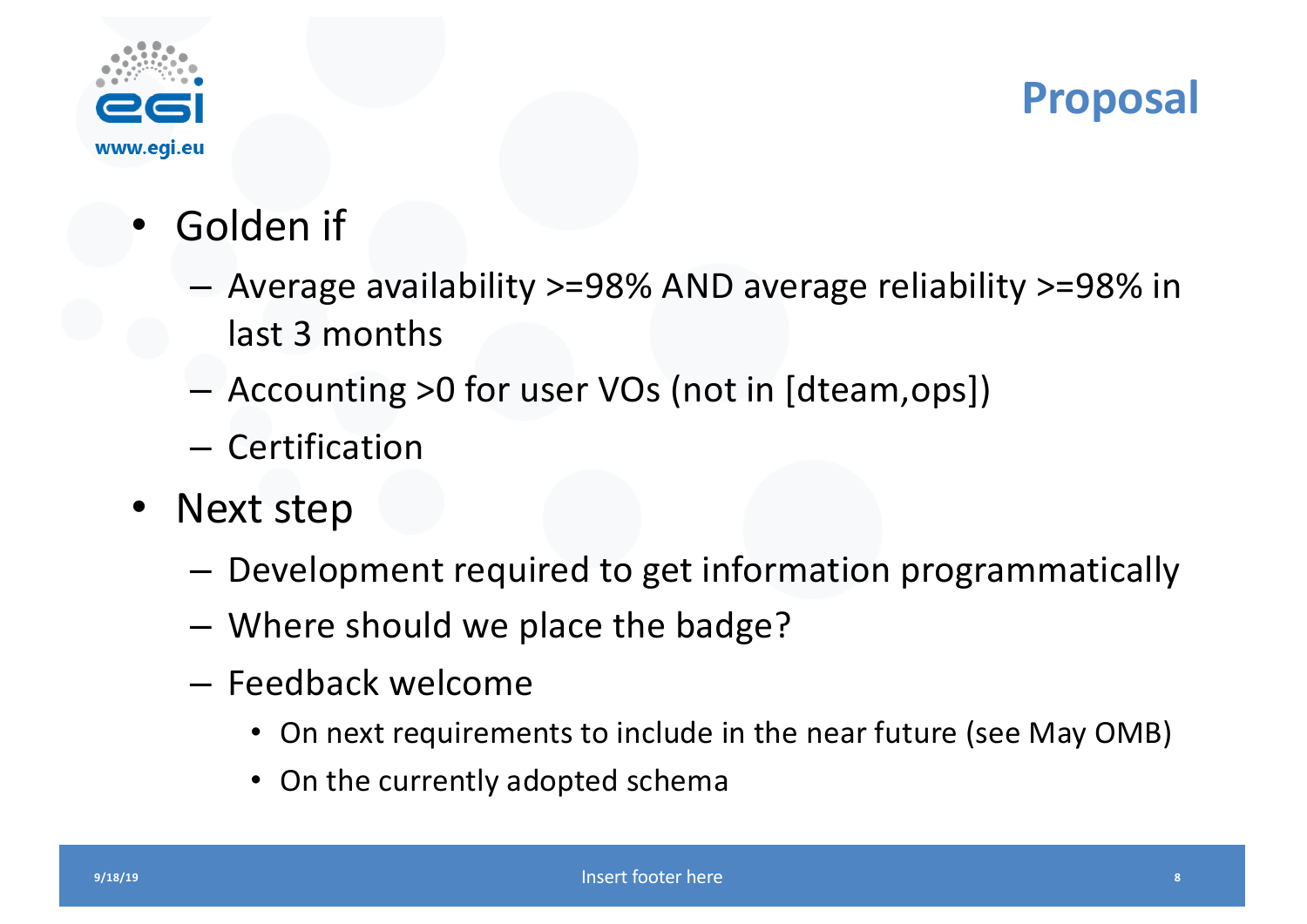

### **Proposal**

- Golden if
	- Average availability >=98% AND average reliability >=98% in last 3 months
	- Accounting >0 for user VOs (not in [dteam,ops])
	- Certification
- Next step
	- Development required to get information programmatically
	- Where should we place the badge?
	- Feedback welcome
		- On next requirements to include in the near future (see May OMB)
		- On the currently adopted schema